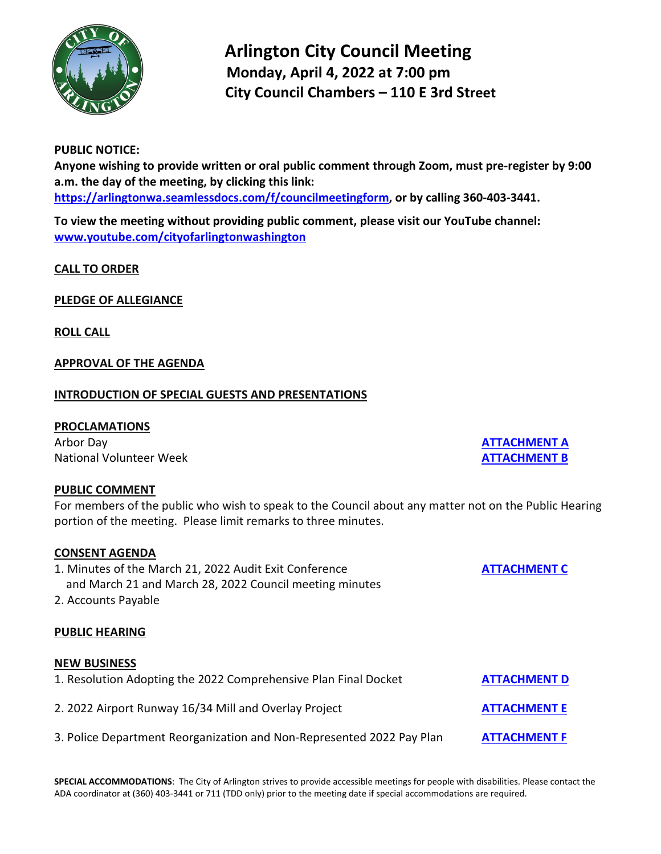

# **Arlington City Council Meeting Monday, April 4, 2022 at 7:00 pm City Council Chambers – 110 E 3rd Street**

#### **PUBLIC NOTICE:**

**Anyone wishing to provide written or oral public comment through Zoom, must pre-register by 9:00 a.m. the day of the meeting, by clicking this link: [https://arlingtonwa.seamlessdocs.com/f/councilmeetingform,](https://arlingtonwa.seamlessdocs.com/f/councilmeetingform) or by calling 360-403-3441.**

**To view the meeting without providing public comment, please visit our YouTube channel: [www.youtube.com/cityofarlingtonwashington](http://www.youtube.com/cityofarlingtonwashington)**

**CALL TO ORDER**

**PLEDGE OF ALLEGIANCE**

**ROLL CALL**

#### **APPROVAL OF THE AGENDA**

### **INTRODUCTION OF SPECIAL GUESTS AND PRESENTATIONS**

#### **PROCLAMATIONS**

Arbor Day **[ATTACHMENT A](https://www.arlingtonwa.gov/DocumentCenter/View/6856/Attachment-A)** National Volunteer Week **[ATTACHMENT B](https://www.arlingtonwa.gov/DocumentCenter/View/6857/Attachment-B)** 

#### **PUBLIC COMMENT**

For members of the public who wish to speak to the Council about any matter not on the Public Hearing portion of the meeting. Please limit remarks to three minutes.

#### **CONSENT AGENDA**

- 1. Minutes of the March 21, 2022 Audit Exit Conference **[ATTACHMENT C](https://www.arlingtonwa.gov/DocumentCenter/View/6858/Attachment-C)** and March 21 and March 28, 2022 Council meeting minutes
- 2. Accounts Payable

## **PUBLIC HEARING**

#### **NEW BUSINESS**

| 1. Resolution Adopting the 2022 Comprehensive Plan Final Docket       | <b>ATTACHMENT D</b> |
|-----------------------------------------------------------------------|---------------------|
| 2. 2022 Airport Runway 16/34 Mill and Overlay Project                 | <b>ATTACHMENT E</b> |
| 3. Police Department Reorganization and Non-Represented 2022 Pay Plan | <b>ATTACHMENT F</b> |

**SPECIAL ACCOMMODATIONS**: The City of Arlington strives to provide accessible meetings for people with disabilities. Please contact the ADA coordinator at (360) 403-3441 or 711 (TDD only) prior to the meeting date if special accommodations are required.